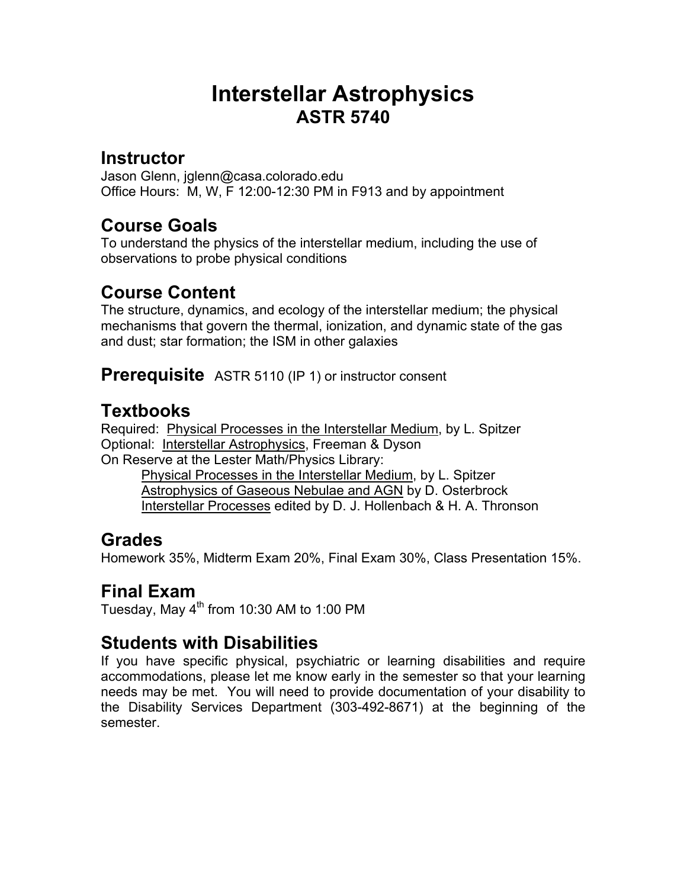# **Interstellar Astrophysics ASTR 5740**

#### **Instructor**

Jason Glenn, jglenn@casa.colorado.edu Office Hours: M, W, F 12:00-12:30 PM in F913 and by appointment

#### **Course Goals**

To understand the physics of the interstellar medium, including the use of observations to probe physical conditions

## **Course Content**

The structure, dynamics, and ecology of the interstellar medium; the physical mechanisms that govern the thermal, ionization, and dynamic state of the gas and dust; star formation; the ISM in other galaxies

**Prerequisite** ASTR 5110 (IP 1) or instructor consent

## **Textbooks**

Required: Physical Processes in the Interstellar Medium, by L. Spitzer Optional: Interstellar Astrophysics, Freeman & Dyson On Reserve at the Lester Math/Physics Library:

 Physical Processes in the Interstellar Medium, by L. Spitzer Astrophysics of Gaseous Nebulae and AGN by D. Osterbrock Interstellar Processes edited by D. J. Hollenbach & H. A. Thronson

#### **Grades**

Homework 35%, Midterm Exam 20%, Final Exam 30%, Class Presentation 15%.

## **Final Exam**

Tuesday, May  $4<sup>th</sup>$  from 10:30 AM to 1:00 PM

## **Students with Disabilities**

If you have specific physical, psychiatric or learning disabilities and require accommodations, please let me know early in the semester so that your learning needs may be met. You will need to provide documentation of your disability to the Disability Services Department (303-492-8671) at the beginning of the semester.